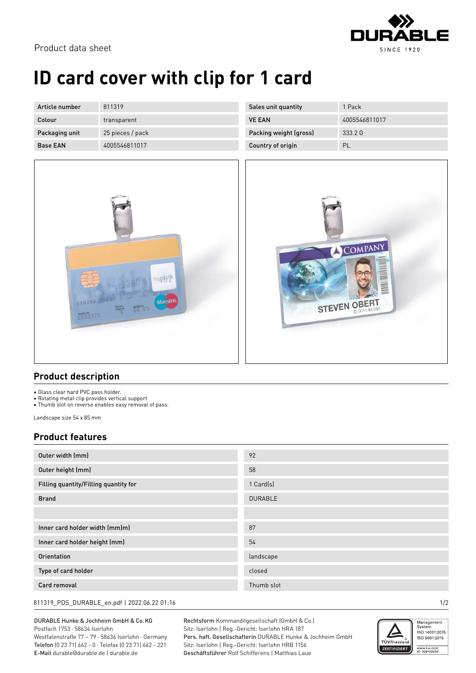

# **ID card cover with clip for 1 card**

| Article number  | 811319           | Sales unit quantity    | 1 Pack        |
|-----------------|------------------|------------------------|---------------|
| Colour          | transparent      | <b>VE EAN</b>          | 4005546811017 |
| Packaging unit  | 25 pieces / pack | Packing weight (gross) | 333.2 G       |
| <b>Base EAN</b> | 4005546811017    | Country of origin      | PL            |



| Sales unit quantity    | 1 Pack        |
|------------------------|---------------|
| <b>VE FAN</b>          | 4005546811017 |
| Packing weight (gross) | 33326         |
| Country of origin      | PL            |



### **Product description**

• Glass clear hard PVC pass holder.

• Rotating metal clip provides vertical support

• Thumb slot on reverse enables easy removal of pass.

Landscape size 54 x 85 mm

### **Product features**

| Outer width (mm)                      | 92             |
|---------------------------------------|----------------|
| Outer height (mm)                     | 58             |
| Filling quantity/Filling quantity for | 1 Card(s)      |
| <b>Brand</b>                          | <b>DURABLE</b> |
|                                       |                |
| Inner card holder width (mm)m)        | 87             |
| Inner card holder height (mm)         | 54             |
| Orientation                           | landscape      |
| Type of card holder                   | closed         |
| Card removal                          | Thumb slot     |

811319\_PDS\_DURABLE\_en.pdf | 2022.06.22 01:16 1/2

### DURABLE Hunke & Jochheim GmbH & Co.KG Postfach 1753 · 58634 Iserlohn

Westfalenstraße 77 – 79 · 58636 Iserlohn · Germany Telefon (0 23 71) 662 - 0 · Telefax (0 23 71) 662 - 221 E-Mail durable@durable.de | durable.de

Rechtsform Kommanditgesellschaft (GmbH & Co.) Sitz: Iserlohn | Reg.-Gericht: Iserlohn HRA 187 Pers. haft. Gesellschafterin DURABLE Hunke & Jochheim GmbH Sitz: Iserlohn | Reg.-Gericht: Iserlohn HRB 1156 Geschäftsführer Rolf Schifferens | Matthias Laue